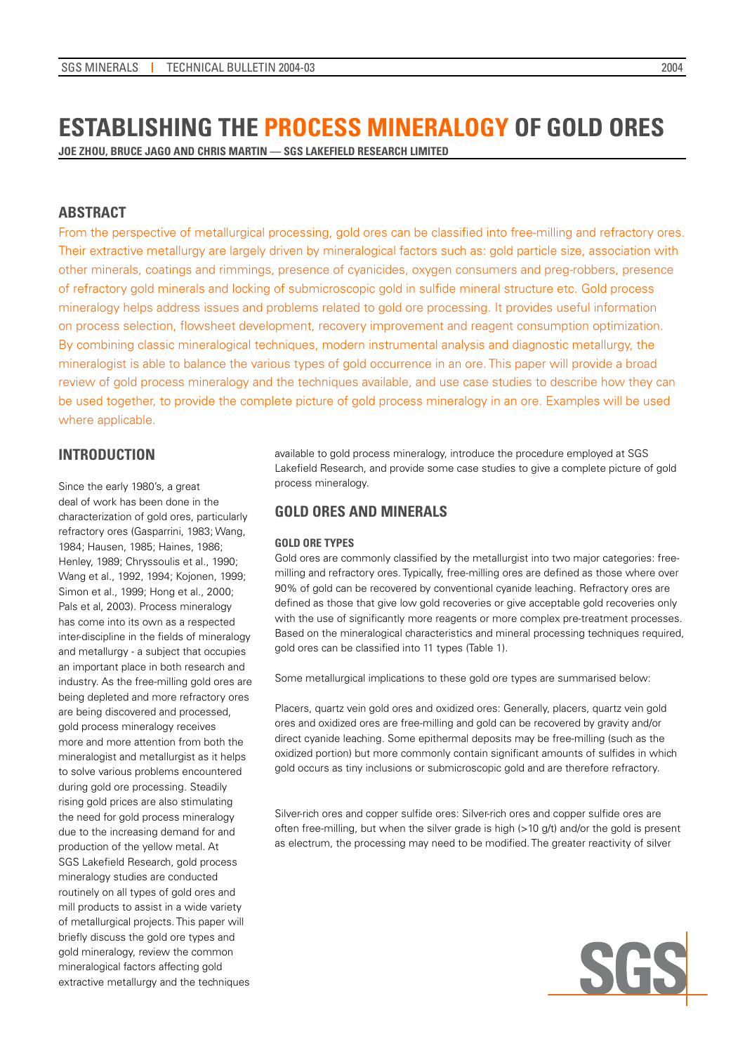# **Establishing the Process Mineralogy of Gold Ores**

**Joe Zhou, Bruce Jago and Chris Martin –– SGS Lakefield Research Limited** 

# **ABSTRACT**

From the perspective of metallurgical processing, gold ores can be classified into free-milling and refractory ores. Their extractive metallurgy are largely driven by mineralogical factors such as: gold particle size, association with other minerals, coatings and rimmings, presence of cyanicides, oxygen consumers and preg-robbers, presence of refractory gold minerals and locking of submicroscopic gold in sulfide mineral structure etc. Gold process mineralogy helps address issues and problems related to gold ore processing. It provides useful information on process selection, flowsheet development, recovery improvement and reagent consumption optimization. By combining classic mineralogical techniques, modern instrumental analysis and diagnostic metallurgy, the mineralogist is able to balance the various types of gold occurrence in an ore. This paper will provide a broad review of gold process mineralogy and the techniques available, and use case studies to describe how they can be used together, to provide the complete picture of gold process mineralogy in an ore. Examples will be used where applicable.

# **INTRODUCTION**

Since the early 1980's, a great deal of work has been done in the characterization of gold ores, particularly refractory ores (Gasparrini, 1983; Wang, 1984; Hausen, 1985; Haines, 1986; Henley, 1989; Chryssoulis et al., 1990; Wang et al., 1992, 1994; Kojonen, 1999; Simon et al., 1999; Hong et al., 2000; Pals et al, 2003). Process mineralogy has come into its own as a respected inter-discipline in the fields of mineralogy and metallurgy - a subject that occupies an important place in both research and industry. As the free-milling gold ores are being depleted and more refractory ores are being discovered and processed, gold process mineralogy receives more and more attention from both the mineralogist and metallurgist as it helps to solve various problems encountered during gold ore processing. Steadily rising gold prices are also stimulating the need for gold process mineralogy due to the increasing demand for and production of the yellow metal. At SGS Lakefield Research, gold process mineralogy studies are conducted routinely on all types of gold ores and mill products to assist in a wide variety of metallurgical projects. This paper will briefly discuss the gold ore types and gold mineralogy, review the common mineralogical factors affecting gold extractive metallurgy and the techniques

available to gold process mineralogy, introduce the procedure employed at SGS Lakefield Research, and provide some case studies to give a complete picture of gold process mineralogy.

# **GOLD ORES AND MINERALS**

### **Gold Ore Types**

Gold ores are commonly classified by the metallurgist into two major categories: freemilling and refractory ores. Typically, free-milling ores are defined as those where over 90% of gold can be recovered by conventional cyanide leaching. Refractory ores are defined as those that give low gold recoveries or give acceptable gold recoveries only with the use of significantly more reagents or more complex pre-treatment processes. Based on the mineralogical characteristics and mineral processing techniques required, gold ores can be classified into 11 types (Table 1).

Some metallurgical implications to these gold ore types are summarised below:

Placers, quartz vein gold ores and oxidized ores: Generally, placers, quartz vein gold ores and oxidized ores are free-milling and gold can be recovered by gravity and/or direct cyanide leaching. Some epithermal deposits may be free-milling (such as the oxidized portion) but more commonly contain significant amounts of sulfides in which gold occurs as tiny inclusions or submicroscopic gold and are therefore refractory.

Silver-rich ores and copper sulfide ores: Silver-rich ores and copper sulfide ores are often free-milling, but when the silver grade is high  $(>10 \text{ g/t})$  and/or the gold is present as electrum, the processing may need to be modified. The greater reactivity of silver

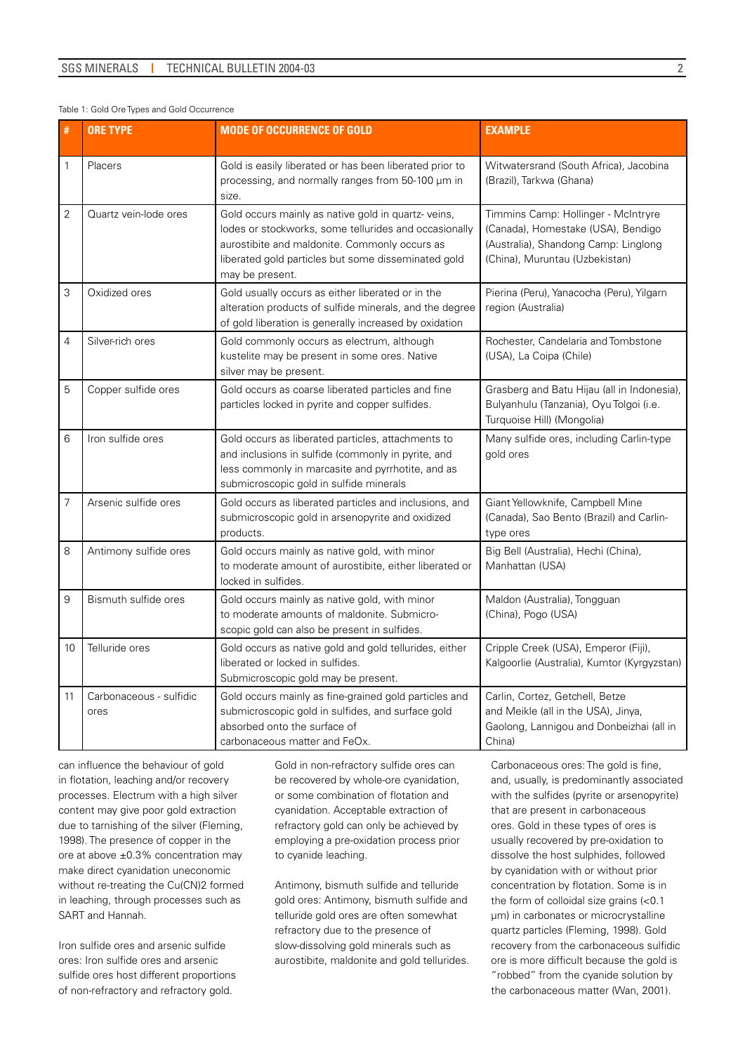#### Table 1: Gold Ore Types and Gold Occurrence

| #              | <b>ORE TYPE</b>                 | <b>MODE OF OCCURRENCE OF GOLD</b>                                                                                                                                                                                                      | <b>EXAMPLE</b>                                                                                                                                      |  |  |
|----------------|---------------------------------|----------------------------------------------------------------------------------------------------------------------------------------------------------------------------------------------------------------------------------------|-----------------------------------------------------------------------------------------------------------------------------------------------------|--|--|
| $\mathbf{1}$   | Placers                         | Gold is easily liberated or has been liberated prior to<br>processing, and normally ranges from 50-100 µm in<br>size.                                                                                                                  | Witwatersrand (South Africa), Jacobina<br>(Brazil), Tarkwa (Ghana)                                                                                  |  |  |
| $\overline{2}$ | Quartz vein-lode ores           | Gold occurs mainly as native gold in quartz-veins,<br>lodes or stockworks, some tellurides and occasionally<br>aurostibite and maldonite. Commonly occurs as<br>liberated gold particles but some disseminated gold<br>may be present. | Timmins Camp: Hollinger - McIntryre<br>(Canada), Homestake (USA), Bendigo<br>(Australia), Shandong Camp: Linglong<br>(China), Muruntau (Uzbekistan) |  |  |
| 3              | Oxidized ores                   | Gold usually occurs as either liberated or in the<br>alteration products of sulfide minerals, and the degree<br>of gold liberation is generally increased by oxidation                                                                 | Pierina (Peru), Yanacocha (Peru), Yilgarn<br>region (Australia)                                                                                     |  |  |
| $\overline{4}$ | Silver-rich ores                | Gold commonly occurs as electrum, although<br>kustelite may be present in some ores. Native<br>silver may be present.                                                                                                                  | Rochester, Candelaria and Tombstone<br>(USA), La Coipa (Chile)                                                                                      |  |  |
| 5              | Copper sulfide ores             | Gold occurs as coarse liberated particles and fine<br>particles locked in pyrite and copper sulfides.                                                                                                                                  | Grasberg and Batu Hijau (all in Indonesia),<br>Bulyanhulu (Tanzania), Oyu Tolgoi (i.e.<br>Turquoise Hill) (Mongolia)                                |  |  |
| 6              | Iron sulfide ores               | Gold occurs as liberated particles, attachments to<br>and inclusions in sulfide (commonly in pyrite, and<br>less commonly in marcasite and pyrrhotite, and as<br>submicroscopic gold in sulfide minerals                               | Many sulfide ores, including Carlin-type<br>gold ores                                                                                               |  |  |
| $\overline{7}$ | Arsenic sulfide ores            | Gold occurs as liberated particles and inclusions, and<br>submicroscopic gold in arsenopyrite and oxidized<br>products.                                                                                                                | Giant Yellowknife, Campbell Mine<br>(Canada), Sao Bento (Brazil) and Carlin-<br>type ores                                                           |  |  |
| 8              | Antimony sulfide ores           | Gold occurs mainly as native gold, with minor<br>to moderate amount of aurostibite, either liberated or<br>locked in sulfides.                                                                                                         | Big Bell (Australia), Hechi (China),<br>Manhattan (USA)                                                                                             |  |  |
| 9              | Bismuth sulfide ores            | Gold occurs mainly as native gold, with minor<br>to moderate amounts of maldonite. Submicro-<br>scopic gold can also be present in sulfides.                                                                                           | Maldon (Australia), Tongguan<br>(China), Pogo (USA)                                                                                                 |  |  |
| 10             | Telluride ores                  | Gold occurs as native gold and gold tellurides, either<br>liberated or locked in sulfides.<br>Submicroscopic gold may be present.                                                                                                      | Cripple Creek (USA), Emperor (Fiji),<br>Kalgoorlie (Australia), Kumtor (Kyrgyzstan)                                                                 |  |  |
| 11             | Carbonaceous - sulfidic<br>ores | Gold occurs mainly as fine-grained gold particles and<br>submicroscopic gold in sulfides, and surface gold<br>absorbed onto the surface of<br>carbonaceous matter and FeOx.                                                            | Carlin, Cortez, Getchell, Betze<br>and Meikle (all in the USA), Jinya,<br>Gaolong, Lannigou and Donbeizhai (all in<br>China)                        |  |  |

can influence the behaviour of gold in flotation, leaching and/or recovery processes. Electrum with a high silver content may give poor gold extraction due to tarnishing of the silver (Fleming, 1998). The presence of copper in the ore at above  $\pm 0.3\%$  concentration may make direct cyanidation uneconomic without re-treating the Cu(CN)2 formed in leaching, through processes such as SART and Hannah.

Iron sulfide ores and arsenic sulfide ores: Iron sulfide ores and arsenic sulfide ores host different proportions of non-refractory and refractory gold.

Gold in non-refractory sulfide ores can be recovered by whole-ore cyanidation, or some combination of flotation and cyanidation. Acceptable extraction of refractory gold can only be achieved by employing a pre-oxidation process prior to cyanide leaching.

Antimony, bismuth sulfide and telluride gold ores: Antimony, bismuth sulfide and telluride gold ores are often somewhat refractory due to the presence of slow-dissolving gold minerals such as aurostibite, maldonite and gold tellurides. Carbonaceous ores: The gold is fine, and, usually, is predominantly associated with the sulfides (pyrite or arsenopyrite) that are present in carbonaceous ores. Gold in these types of ores is usually recovered by pre-oxidation to dissolve the host sulphides, followed by cyanidation with or without prior concentration by flotation. Some is in the form of colloidal size grains (<0.1 µm) in carbonates or microcrystalline quartz particles (Fleming, 1998). Gold recovery from the carbonaceous sulfidic ore is more difficult because the gold is "robbed" from the cyanide solution by the carbonaceous matter (Wan, 2001).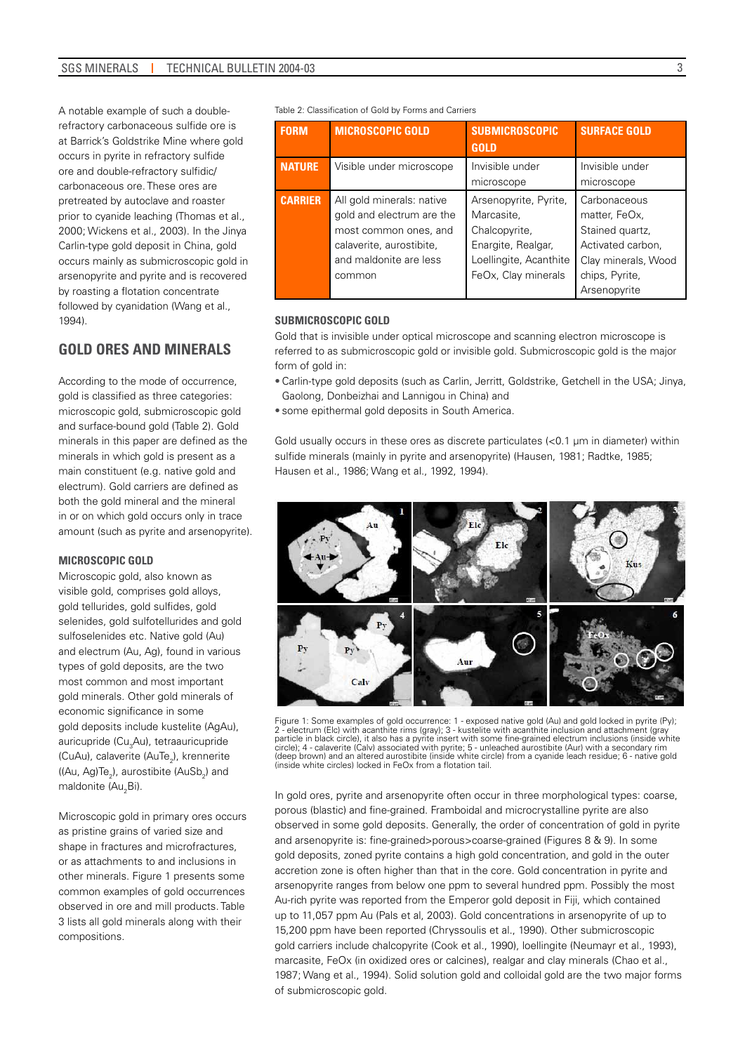A notable example of such a doublerefractory carbonaceous sulfide ore is at Barrick's Goldstrike Mine where gold occurs in pyrite in refractory sulfide ore and double-refractory sulfidic/ carbonaceous ore. These ores are pretreated by autoclave and roaster prior to cyanide leaching (Thomas et al., 2000; Wickens et al., 2003). In the Jinya Carlin-type gold deposit in China, gold occurs mainly as submicroscopic gold in arsenopyrite and pyrite and is recovered by roasting a flotation concentrate followed by cyanidation (Wang et al., 1994).

# **GOLD ORES AND MINERALS**

According to the mode of occurrence, gold is classified as three categories: microscopic gold, submicroscopic gold and surface-bound gold (Table 2). Gold minerals in this paper are defined as the minerals in which gold is present as a main constituent (e.g. native gold and electrum). Gold carriers are defined as both the gold mineral and the mineral in or on which gold occurs only in trace amount (such as pyrite and arsenopyrite).

#### **Microscopic Gold**

Microscopic gold, also known as visible gold, comprises gold alloys, gold tellurides, gold sulfides, gold selenides, gold sulfotellurides and gold sulfoselenides etc. Native gold (Au) and electrum (Au, Ag), found in various types of gold deposits, are the two most common and most important gold minerals. Other gold minerals of economic significance in some gold deposits include kustelite (AgAu), auricupride (Cu<sub>3</sub>Au), tetraauricupride (CuAu), calaverite (AuTe<sub>2</sub>), krennerite ((Au, Ag)Te $_2$ ), aurostibite (AuSb $_2$ ) and maldonite (Au<sub>2</sub>Bi).

Microscopic gold in primary ores occurs as pristine grains of varied size and shape in fractures and microfractures or as attachments to and inclusions in other minerals. Figure 1 presents some common examples of gold occurrences observed in ore and mill products. Table 3 lists all gold minerals along with their compositions.

Table 2: Classification of Gold by Forms and Carriers

| <b>FORM</b>    | <b>MICROSCOPIC GOLD</b>                                                                                                                         | <b>SUBMICROSCOPIC</b><br><b>GOLD</b>                                                                                        | <b>SURFACE GOLD</b>                                                                                                            |
|----------------|-------------------------------------------------------------------------------------------------------------------------------------------------|-----------------------------------------------------------------------------------------------------------------------------|--------------------------------------------------------------------------------------------------------------------------------|
| <b>NATURE</b>  | Visible under microscope                                                                                                                        | Invisible under<br>microscope                                                                                               | Invisible under<br>microscope                                                                                                  |
| <b>CARRIER</b> | All gold minerals: native<br>gold and electrum are the<br>most common ones, and<br>calaverite, aurostibite,<br>and maldonite are less<br>common | Arsenopyrite, Pyrite,<br>Marcasite,<br>Chalcopyrite,<br>Enargite, Realgar,<br>Loellingite, Acanthite<br>FeOx, Clay minerals | Carbonaceous<br>matter, FeOx,<br>Stained quartz,<br>Activated carbon,<br>Clay minerals, Wood<br>chips, Pyrite,<br>Arsenopyrite |

### **Submicroscopic Gold**

Gold that is invisible under optical microscope and scanning electron microscope is referred to as submicroscopic gold or invisible gold. Submicroscopic gold is the major form of gold in:

- Carlin-type gold deposits (such as Carlin, Jerritt, Goldstrike, Getchell in the USA; Jinya, Gaolong, Donbeizhai and Lannigou in China) and
- some epithermal gold deposits in South America.

Gold usually occurs in these ores as discrete particulates (<0.1 µm in diameter) within sulfide minerals (mainly in pyrite and arsenopyrite) (Hausen, 1981; Radtke, 1985; Hausen et al., 1986; Wang et al., 1992, 1994).



Figure 1: Some examples of gold occurrence: 1 - exposed native gold (Au) and gold locked in pyrite (Py); 2 - electrum (Elc) with acanthite rims (gray); 3 - kustelite with acanthite inclusion and attachment (gray<br>particle in black circle), it also has a pyrite insert with some fine-grained electrum inclusions (inside white<br>cir (deep brown) and an altered aurostibite (inside white circle) from a cyanide leach residue; 6 - native gold (inside white circles) locked in FeOx from a flotation tail.

In gold ores, pyrite and arsenopyrite often occur in three morphological types: coarse, porous (blastic) and fine-grained. Framboidal and microcrystalline pyrite are also observed in some gold deposits. Generally, the order of concentration of gold in pyrite and arsenopyrite is: fine-grained>porous>coarse-grained (Figures 8 & 9). In some gold deposits, zoned pyrite contains a high gold concentration, and gold in the outer accretion zone is often higher than that in the core. Gold concentration in pyrite and arsenopyrite ranges from below one ppm to several hundred ppm. Possibly the most Au-rich pyrite was reported from the Emperor gold deposit in Fiji, which contained up to 11,057 ppm Au (Pals et al, 2003). Gold concentrations in arsenopyrite of up to 15,200 ppm have been reported (Chryssoulis et al., 1990). Other submicroscopic gold carriers include chalcopyrite (Cook et al., 1990), loellingite (Neumayr et al., 1993), marcasite, FeOx (in oxidized ores or calcines), realgar and clay minerals (Chao et al., 1987; Wang et al., 1994). Solid solution gold and colloidal gold are the two major forms of submicroscopic gold.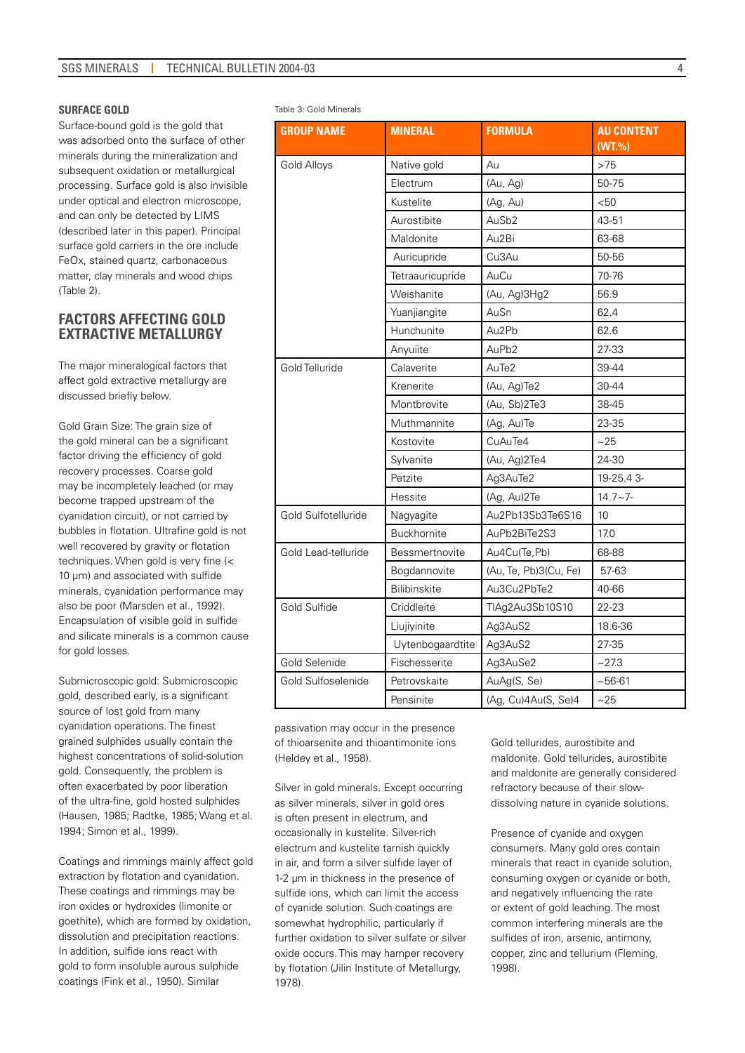#### **Surface Gold**

Surface-bound gold is the gold that was adsorbed onto the surface of other minerals during the mineralization and subsequent oxidation or metallurgical processing. Surface gold is also invisible under optical and electron microscope, and can only be detected by LIMS (described later in this paper). Principal surface gold carriers in the ore include FeOx, stained quartz, carbonaceous matter, clay minerals and wood chips (Table 2).

# **FACTORS AFFECTING GOLD EXTRACTIVE METALLURGY**

The major mineralogical factors that affect gold extractive metallurgy are discussed briefly below.

Gold Grain Size: The grain size of the gold mineral can be a significant factor driving the efficiency of gold recovery processes. Coarse gold may be incompletely leached (or may become trapped upstream of the cyanidation circuit), or not carried by bubbles in flotation. Ultrafine gold is not well recovered by gravity or flotation techniques. When gold is very fine (< 10 um) and associated with sulfide minerals, cyanidation performance may also be poor (Marsden et al., 1992). Encapsulation of visible gold in sulfide and silicate minerals is a common cause for gold losses.

Submicroscopic gold: Submicroscopic gold, described early, is a significant source of lost gold from many cyanidation operations. The finest grained sulphides usually contain the highest concentrations of solid-solution gold. Consequently, the problem is often exacerbated by poor liberation of the ultra-fine, gold hosted sulphides (Hausen, 1985; Radtke, 1985; Wang et al. 1994; Simon et al., 1999).

Coatings and rimmings mainly affect gold extraction by flotation and cyanidation. These coatings and rimmings may be iron oxides or hydroxides (limonite or goethite), which are formed by oxidation, dissolution and precipitation reactions. In addition, sulfide ions react with gold to form insoluble aurous sulphide coatings (Fink et al., 1950). Similar

Table 3: Gold Minerals

| <b>GROUP NAME</b>   | <b>MINERAL</b>      | <b>FORMULA</b>        | <b>AU CONTENT</b> |
|---------------------|---------------------|-----------------------|-------------------|
|                     |                     |                       | (WT. %)           |
| <b>Gold Alloys</b>  | Native gold         | Au                    | >75               |
|                     | Electrum            | (Au, Ag)              | 50-75             |
|                     | Kustelite           | (Ag, Au)              | < 50              |
|                     | Aurostibite         | AuSb <sub>2</sub>     | 43-51             |
|                     | Maldonite           | Au2Bi                 | 63-68             |
|                     | Auricupride         | Cu3Au                 | 50-56             |
|                     | Tetraauricupride    | AuCu                  | 70-76             |
|                     | Weishanite          | (Au, Ag)3Hg2          | 56.9              |
|                     | Yuanjiangite        | AuSn                  | 62.4              |
|                     | Hunchunite          | Au2Pb                 | 62.6              |
|                     | Anyuiite            | AuPb2                 | 27-33             |
| Gold Telluride      | Calaverite          | AuTe2                 | 39-44             |
|                     | Krenerite           | (Au, Ag)Te2           | 30-44             |
|                     | Montbrovite         | (Au, Sb)2Te3          | 38-45             |
|                     | Muthmannite         | (Ag, Au)Te            | 23-35             |
|                     | Kostovite           | CuAuTe4               | ~25               |
|                     | Sylvanite           | (Au, Ag)2Te4          | 24-30             |
|                     | Petzite             | Ag3AuTe2              | 19-25.43-         |
|                     | Hessite             | (Ag, Au)2Te           | $14.7 - 7 -$      |
| Gold Sulfotelluride | Nagyagite           | Au2Pb13Sb3Te6S16      | 10                |
|                     | Buckhornite         | AuPb2BiTe2S3          | 17.0              |
| Gold Lead-telluride | Bessmertnovite      | Au4Cu(Te, Pb)         | 68-88             |
|                     | Bogdannovite        | (Au, Te, Pb)3(Cu, Fe) | 57-63             |
|                     | <b>Bilibinskite</b> | Au3Cu2PbTe2           | 40-66             |
| Gold Sulfide        | Criddleite          | TIAg2Au3Sb10S10       | 22-23             |
|                     | Liujiyinite         | Ag3AuS2               | 18.6-36           |
|                     | Uytenbogaardtite    | Ag3AuS2               | 27-35             |
| Gold Selenide       | Fischesserite       | Ag3AuSe2              | ~27.3             |
| Gold Sulfoselenide  | Petrovskaite        | AuAg(S, Se)           | $~56-61$          |
|                     | Pensinite           | (Ag, Cu)4Au(S, Se)4   | ~25               |

passivation may occur in the presence of thioarsenite and thioantimonite ions (Heldey et al., 1958).

Silver in gold minerals. Except occurring as silver minerals, silver in gold ores is often present in electrum, and occasionally in kustelite. Silver-rich electrum and kustelite tarnish quickly in air, and form a silver sulfide layer of 1-2 um in thickness in the presence of sulfide ions, which can limit the access of cyanide solution. Such coatings are somewhat hydrophilic, particularly if further oxidation to silver sulfate or silver oxide occurs. This may hamper recovery by flotation (Jilin Institute of Metallurgy, 1978).

Gold tellurides, aurostibite and maldonite. Gold tellurides, aurostibite and maldonite are generally considered refractory because of their slowdissolving nature in cyanide solutions.

Presence of cvanide and oxygen consumers. Many gold ores contain minerals that react in cyanide solution, consuming oxygen or cyanide or both, and negatively influencing the rate or extent of gold leaching. The most common interfering minerals are the sulfides of iron, arsenic, antimony, copper, zinc and tellurium (Fleming, 1998).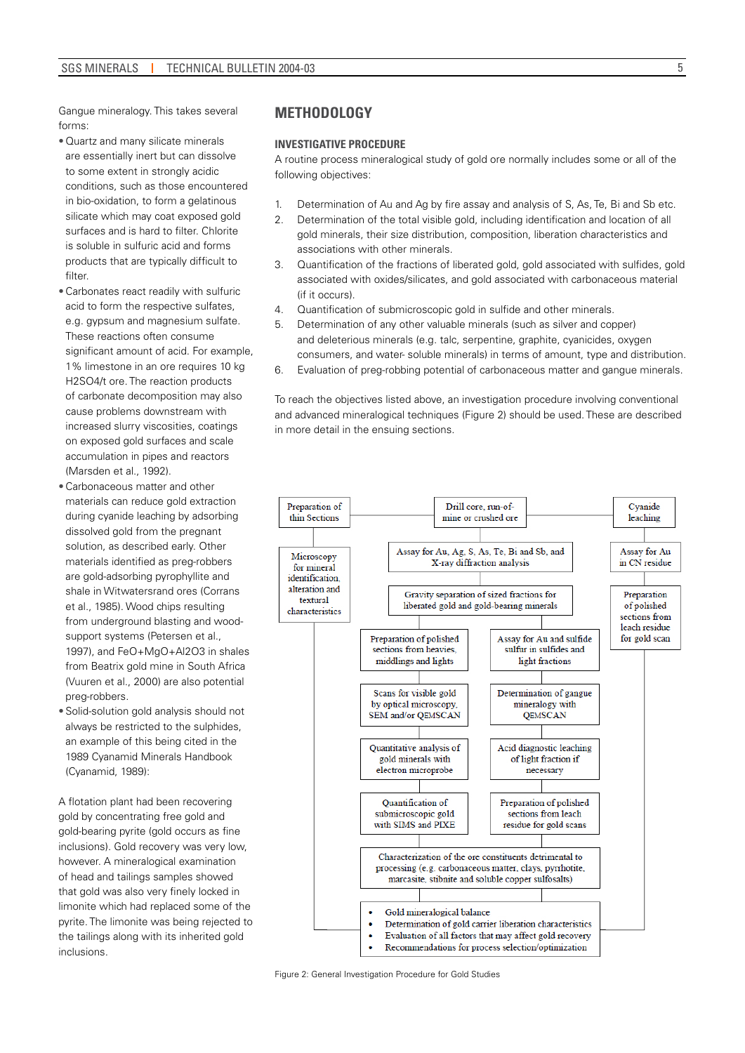Gangue mineralogy. This takes several forms:

- Quartz and many silicate minerals are essentially inert but can dissolve to some extent in strongly acidic conditions, such as those encountered in bio-oxidation, to form a gelatinous silicate which may coat exposed gold surfaces and is hard to filter. Chlorite is soluble in sulfuric acid and forms products that are typically difficult to filter.
- Carbonates react readily with sulfuric acid to form the respective sulfates, e.g. gypsum and magnesium sulfate. These reactions often consume significant amount of acid. For example, 1% limestone in an ore requires 10 kg H2SO4/t ore. The reaction products of carbonate decomposition may also cause problems downstream with increased slurry viscosities, coatings on exposed gold surfaces and scale accumulation in pipes and reactors (Marsden et al., 1992).
- Carbonaceous matter and other materials can reduce gold extraction during cyanide leaching by adsorbing dissolved gold from the pregnant solution, as described early. Other materials identified as preg-robbers are gold-adsorbing pyrophyllite and shale in Witwatersrand ores (Corrans et al., 1985). Wood chips resulting from underground blasting and woodsupport systems (Petersen et al., 1997), and FeO+MgO+Al2O3 in shales from Beatrix gold mine in South Africa (Vuuren et al., 2000) are also potential preg-robbers.
- Solid-solution gold analysis should not always be restricted to the sulphides, an example of this being cited in the 1989 Cyanamid Minerals Handbook (Cyanamid, 1989):

A flotation plant had been recovering gold by concentrating free gold and gold-bearing pyrite (gold occurs as fine inclusions). Gold recovery was very low, however. A mineralogical examination of head and tailings samples showed that gold was also very finely locked in limonite which had replaced some of the pyrite. The limonite was being rejected to the tailings along with its inherited gold inclusions.

# **METHODOLOGY**

#### **Investigative Procedure**

A routine process mineralogical study of gold ore normally includes some or all of the following objectives:

- 1. Determination of Au and Ag by fire assay and analysis of S, As, Te, Bi and Sb etc.
- 2. Determination of the total visible gold, including identification and location of all gold minerals, their size distribution, composition, liberation characteristics and associations with other minerals.
- 3. Quantification of the fractions of liberated gold, gold associated with sulfides, gold associated with oxides/silicates, and gold associated with carbonaceous material (if it occurs).
- 4. Quantification of submicroscopic gold in sulfide and other minerals.
- 5. Determination of any other valuable minerals (such as silver and copper) and deleterious minerals (e.g. talc, serpentine, graphite, cyanicides, oxygen consumers, and water- soluble minerals) in terms of amount, type and distribution.
- 6. Evaluation of preg-robbing potential of carbonaceous matter and gangue minerals.

To reach the objectives listed above, an investigation procedure involving conventional and advanced mineralogical techniques (Figure 2) should be used. These are described in more detail in the ensuing sections.



Figure 2: General Investigation Procedure for Gold Studies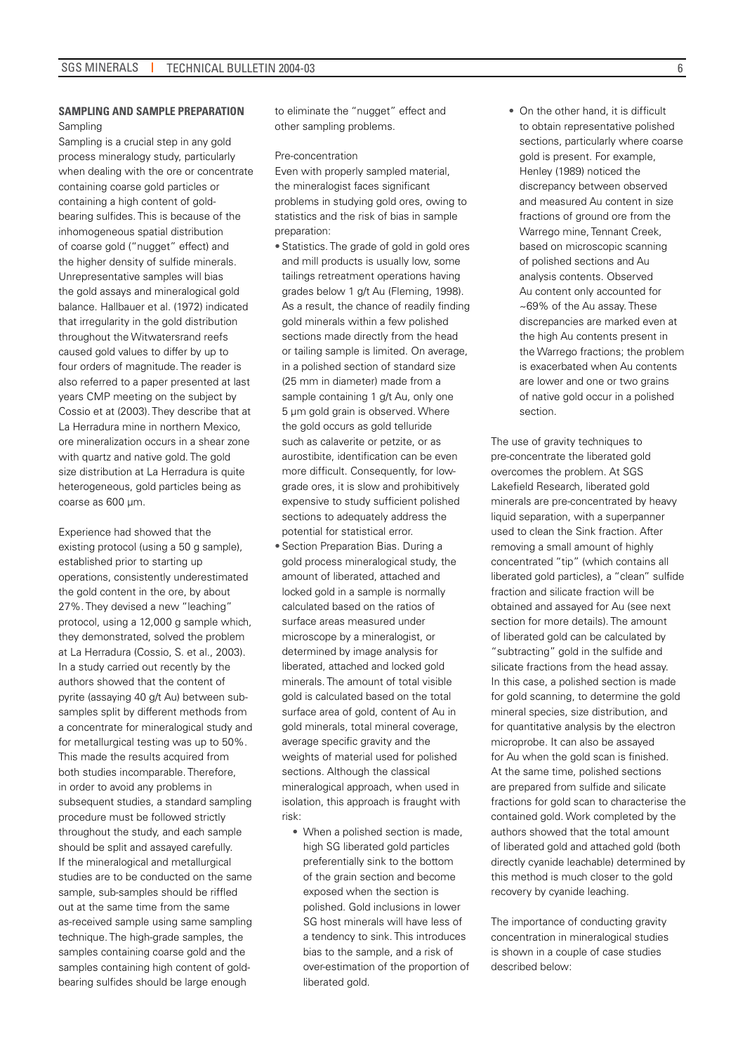### **Sampling and Sample Preparation**  Sampling

Sampling is a crucial step in any gold process mineralogy study, particularly when dealing with the ore or concentrate containing coarse gold particles or containing a high content of goldbearing sulfides. This is because of the inhomogeneous spatial distribution of coarse gold ("nugget" effect) and the higher density of sulfide minerals. Unrepresentative samples will bias the gold assays and mineralogical gold balance. Hallbauer et al. (1972) indicated that irregularity in the gold distribution throughout the Witwatersrand reefs caused gold values to differ by up to four orders of magnitude. The reader is also referred to a paper presented at last years CMP meeting on the subject by Cossio et at (2003). They describe that at La Herradura mine in northern Mexico, ore mineralization occurs in a shear zone with quartz and native gold. The gold size distribution at La Herradura is quite heterogeneous, gold particles being as coarse as 600 um.

Experience had showed that the existing protocol (using a 50 g sample). established prior to starting up operations, consistently underestimated the gold content in the ore, by about 27%. They devised a new "leaching" protocol, using a 12,000 g sample which, they demonstrated, solved the problem at La Herradura (Cossio, S. et al., 2003). In a study carried out recently by the authors showed that the content of pyrite (assaying 40 g/t Au) between subsamples split by different methods from a concentrate for mineralogical study and for metallurgical testing was up to 50%. This made the results acquired from both studies incomparable. Therefore, in order to avoid any problems in subsequent studies, a standard sampling procedure must be followed strictly throughout the study, and each sample should be split and assayed carefully. If the mineralogical and metallurgical studies are to be conducted on the same sample, sub-samples should be riffled out at the same time from the same as-received sample using same sampling technique. The high-grade samples, the samples containing coarse gold and the samples containing high content of goldbearing sulfides should be large enough

to eliminate the "nugget" effect and other sampling problems.

#### Pre-concentration

Even with properly sampled material, the mineralogist faces significant problems in studying gold ores, owing to statistics and the risk of bias in sample preparation:

- Statistics. The grade of gold in gold ores and mill products is usually low, some tailings retreatment operations having grades below 1 g/t Au (Fleming, 1998). As a result, the chance of readily finding gold minerals within a few polished sections made directly from the head or tailing sample is limited. On average, in a polished section of standard size (25 mm in diameter) made from a sample containing 1 g/t Au, only one 5 µm gold grain is observed. Where the gold occurs as gold telluride such as calaverite or petzite, or as aurostibite, identification can be even more difficult. Consequently, for lowgrade ores, it is slow and prohibitively expensive to study sufficient polished sections to adequately address the potential for statistical error.
- Section Preparation Bias. During a gold process mineralogical study, the amount of liberated, attached and locked gold in a sample is normally calculated based on the ratios of surface areas measured under microscope by a mineralogist, or determined by image analysis for liberated, attached and locked gold minerals. The amount of total visible gold is calculated based on the total surface area of gold, content of Au in gold minerals, total mineral coverage, average specific gravity and the weights of material used for polished sections. Although the classical mineralogical approach, when used in isolation, this approach is fraught with risk:
	- When a polished section is made, high SG liberated gold particles preferentially sink to the bottom of the grain section and become exposed when the section is polished. Gold inclusions in lower SG host minerals will have less of a tendency to sink. This introduces bias to the sample, and a risk of over-estimation of the proportion of liberated gold.

• On the other hand, it is difficult to obtain representative polished sections, particularly where coarse gold is present. For example, Henley (1989) noticed the discrepancy between observed and measured Au content in size fractions of ground ore from the Warrego mine, Tennant Creek, based on microscopic scanning of polished sections and Au analysis contents. Observed Au content only accounted for ~69% of the Au assay. These discrepancies are marked even at the high Au contents present in the Warrego fractions; the problem is exacerbated when Au contents are lower and one or two grains of native gold occur in a polished section.

The use of gravity techniques to pre-concentrate the liberated gold overcomes the problem. At SGS Lakefield Research, liberated gold minerals are pre-concentrated by heavy liquid separation, with a superpanner used to clean the Sink fraction. After removing a small amount of highly concentrated "tip" (which contains all liberated gold particles), a "clean" sulfide fraction and silicate fraction will be obtained and assayed for Au (see next section for more details). The amount of liberated gold can be calculated by "subtracting" gold in the sulfide and silicate fractions from the head assay. In this case, a polished section is made for gold scanning, to determine the gold mineral species, size distribution, and for quantitative analysis by the electron microprobe. It can also be assayed for Au when the gold scan is finished. At the same time, polished sections are prepared from sulfide and silicate fractions for gold scan to characterise the contained gold. Work completed by the authors showed that the total amount of liberated gold and attached gold (both directly cyanide leachable) determined by this method is much closer to the gold recovery by cyanide leaching.

The importance of conducting gravity concentration in mineralogical studies is shown in a couple of case studies described below: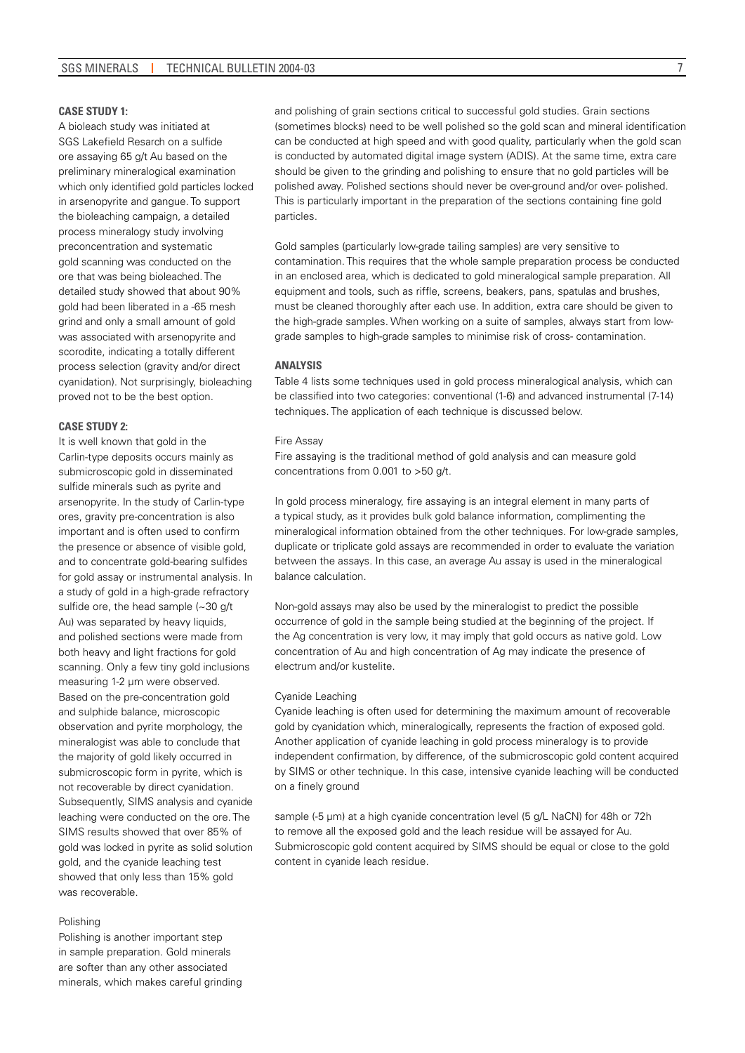#### **Case Study 1:**

A bioleach study was initiated at SGS Lakefield Resarch on a sulfide ore assaying 65 g/t Au based on the preliminary mineralogical examination which only identified gold particles locked in arsenopyrite and gangue. To support the bioleaching campaign, a detailed process mineralogy study involving preconcentration and systematic gold scanning was conducted on the ore that was being bioleached. The detailed study showed that about 90% gold had been liberated in a -65 mesh grind and only a small amount of gold was associated with arsenopyrite and scorodite, indicating a totally different process selection (gravity and/or direct cyanidation). Not surprisingly, bioleaching proved not to be the best option.

#### **CASE STIINY 2:**

It is well known that gold in the Carlin-type deposits occurs mainly as submicroscopic gold in disseminated sulfide minerals such as pyrite and arsenopyrite. In the study of Carlin-type ores, gravity pre-concentration is also important and is often used to confirm the presence or absence of visible gold, and to concentrate gold-bearing sulfides for gold assay or instrumental analysis. In a study of gold in a high-grade refractory sulfide ore, the head sample (~30 g/t Au) was separated by heavy liquids, and polished sections were made from both heavy and light fractions for gold scanning. Only a few tiny gold inclusions measuring 1-2 µm were observed. Based on the pre-concentration gold and sulphide balance, microscopic observation and pyrite morphology, the mineralogist was able to conclude that the majority of gold likely occurred in submicroscopic form in pyrite, which is not recoverable by direct cyanidation. Subsequently, SIMS analysis and cyanide leaching were conducted on the ore. The SIMS results showed that over 85% of gold was locked in pyrite as solid solution gold, and the cyanide leaching test showed that only less than 15% gold was recoverable.

#### Polishing

Polishing is another important step in sample preparation. Gold minerals are softer than any other associated minerals, which makes careful grinding

and polishing of grain sections critical to successful gold studies. Grain sections (sometimes blocks) need to be well polished so the gold scan and mineral identification can be conducted at high speed and with good quality, particularly when the gold scan is conducted by automated digital image system (ADIS). At the same time, extra care should be given to the grinding and polishing to ensure that no gold particles will be polished away. Polished sections should never be over-ground and/or over- polished. This is particularly important in the preparation of the sections containing fine gold particles.

Gold samples (particularly low-grade tailing samples) are very sensitive to contamination. This requires that the whole sample preparation process be conducted in an enclosed area, which is dedicated to gold mineralogical sample preparation. All equipment and tools, such as riffle, screens, beakers, pans, spatulas and brushes, must be cleaned thoroughly after each use. In addition, extra care should be given to the high-grade samples. When working on a suite of samples, always start from lowgrade samples to high-grade samples to minimise risk of cross- contamination.

#### **Analysis**

Table 4 lists some techniques used in gold process mineralogical analysis, which can be classified into two categories: conventional (1-6) and advanced instrumental (7-14) techniques. The application of each technique is discussed below.

#### Fire Assay

Fire assaying is the traditional method of gold analysis and can measure gold concentrations from 0.001 to >50 g/t.

In gold process mineralogy, fire assaying is an integral element in many parts of a typical study, as it provides bulk gold balance information, complimenting the mineralogical information obtained from the other techniques. For low-grade samples, duplicate or triplicate gold assays are recommended in order to evaluate the variation between the assays. In this case, an average Au assay is used in the mineralogical balance calculation.

Non-gold assays may also be used by the mineralogist to predict the possible occurrence of gold in the sample being studied at the beginning of the project. If the Ag concentration is very low, it may imply that gold occurs as native gold. Low concentration of Au and high concentration of Ag may indicate the presence of electrum and/or kustelite.

#### Cyanide Leaching

Cyanide leaching is often used for determining the maximum amount of recoverable gold by cyanidation which, mineralogically, represents the fraction of exposed gold. Another application of cyanide leaching in gold process mineralogy is to provide independent confirmation, by difference, of the submicroscopic gold content acquired by SIMS or other technique. In this case, intensive cyanide leaching will be conducted on a finely ground

sample (-5 µm) at a high cyanide concentration level (5 g/L NaCN) for 48h or 72h to remove all the exposed gold and the leach residue will be assayed for Au. Submicroscopic gold content acquired by SIMS should be equal or close to the gold content in cyanide leach residue.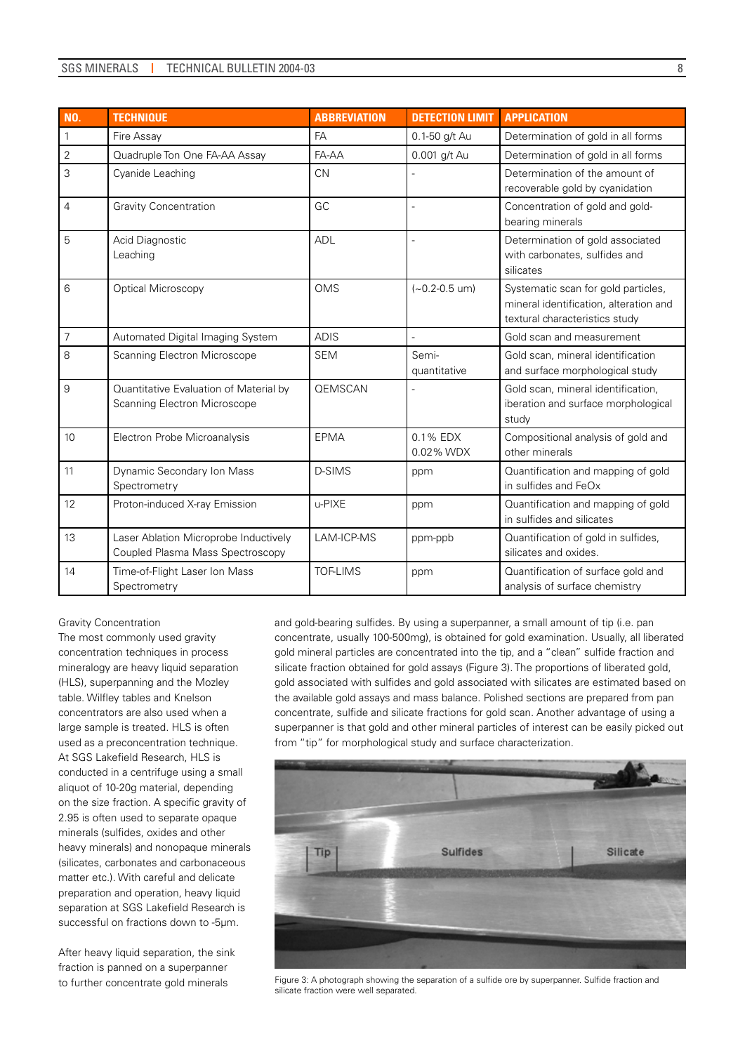| <b>NO.</b>     | <b>TECHNIQUE</b>                                                          | <b>ABBREVIATION</b> | <b>DETECTION LIMIT</b>   | <b>APPLICATION</b>                                                                                              |
|----------------|---------------------------------------------------------------------------|---------------------|--------------------------|-----------------------------------------------------------------------------------------------------------------|
| $\mathbf{1}$   | Fire Assay                                                                | FA                  | 0.1-50 g/t Au            | Determination of gold in all forms                                                                              |
| $\overline{2}$ | Quadruple Ton One FA-AA Assay                                             | FA-AA               | 0.001 g/t Au             | Determination of gold in all forms                                                                              |
| 3              | Cyanide Leaching                                                          | <b>CN</b>           |                          | Determination of the amount of<br>recoverable gold by cyanidation                                               |
| 4              | <b>Gravity Concentration</b>                                              | GC                  |                          | Concentration of gold and gold-<br>bearing minerals                                                             |
| 5              | Acid Diagnostic<br>Leaching                                               | <b>ADL</b>          |                          | Determination of gold associated<br>with carbonates, sulfides and<br>silicates                                  |
| 6              | <b>Optical Microscopy</b>                                                 | <b>OMS</b>          | $(-0.2 - 0.5$ um)        | Systematic scan for gold particles,<br>mineral identification, alteration and<br>textural characteristics study |
| $\overline{7}$ | Automated Digital Imaging System                                          | <b>ADIS</b>         |                          | Gold scan and measurement                                                                                       |
| 8              | Scanning Electron Microscope                                              | <b>SEM</b>          | Semi-<br>quantitative    | Gold scan, mineral identification<br>and surface morphological study                                            |
| 9              | Quantitative Evaluation of Material by<br>Scanning Electron Microscope    | <b>OEMSCAN</b>      |                          | Gold scan, mineral identification,<br>iberation and surface morphological<br>study                              |
| 10             | Electron Probe Microanalysis                                              | EPMA                | $0.1\%$ EDX<br>0.02% WDX | Compositional analysis of gold and<br>other minerals                                                            |
| 11             | Dynamic Secondary Ion Mass<br>Spectrometry                                | <b>D-SIMS</b>       | ppm                      | Quantification and mapping of gold<br>in sulfides and FeOx                                                      |
| 12             | Proton-induced X-ray Emission                                             | u-PIXE              | ppm                      | Quantification and mapping of gold<br>in sulfides and silicates                                                 |
| 13             | Laser Ablation Microprobe Inductively<br>Coupled Plasma Mass Spectroscopy | LAM-ICP-MS          | ppm-ppb                  | Quantification of gold in sulfides,<br>silicates and oxides.                                                    |
| 14             | Time-of-Flight Laser Ion Mass<br>Spectrometry                             | <b>TOF-LIMS</b>     | ppm                      | Quantification of surface gold and<br>analysis of surface chemistry                                             |

#### Gravity Concentration

The most commonly used gravity concentration techniques in process mineralogy are heavy liquid separation (HLS), superpanning and the Mozley table. Wilfley tables and Knelson concentrators are also used when a large sample is treated. HLS is often used as a preconcentration technique. At SGS Lakefield Research, HLS is conducted in a centrifuge using a small aliquot of 10-20g material, depending on the size fraction. A specific gravity of 2.95 is often used to separate opaque minerals (sulfides, oxides and other heavy minerals) and nonopaque minerals (silicates, carbonates and carbonaceous matter etc.). With careful and delicate preparation and operation, heavy liquid separation at SGS Lakefield Research is successful on fractions down to -5µm.

After heavy liquid separation, the sink fraction is panned on a superpanner to further concentrate gold minerals

and gold-bearing sulfides. By using a superpanner, a small amount of tip (i.e. pan concentrate, usually 100-500mg), is obtained for gold examination. Usually, all liberated gold mineral particles are concentrated into the tip, and a "clean" sulfide fraction and silicate fraction obtained for gold assays (Figure 3). The proportions of liberated gold, gold associated with sulfides and gold associated with silicates are estimated based on the available gold assays and mass balance. Polished sections are prepared from pan concentrate, sulfide and silicate fractions for gold scan. Another advantage of using a superpanner is that gold and other mineral particles of interest can be easily picked out from "tip" for morphological study and surface characterization.



Figure 3: A photograph showing the separation of a sulfide ore by superpanner. Sulfide fraction and silicate fraction were well separated.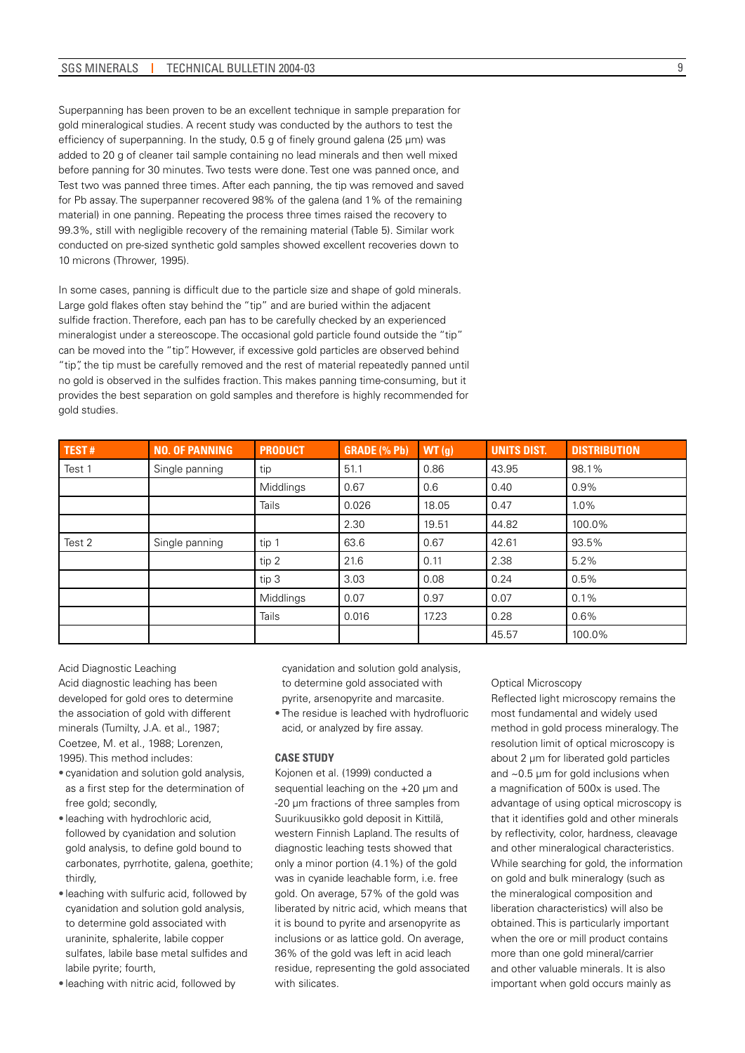### SGS MINERALS | TECHNICAL BULLETIN 2004-03

Superpanning has been proven to be an excellent technique in sample preparation for gold mineralogical studies. A recent study was conducted by the authors to test the efficiency of superpanning. In the study, 0.5 g of finely ground galena (25 µm) was added to 20 g of cleaner tail sample containing no lead minerals and then well mixed before panning for 30 minutes. Two tests were done. Test one was panned once, and Test two was panned three times. After each panning, the tip was removed and saved for Pb assay. The superpanner recovered 98% of the galena (and 1% of the remaining material) in one panning. Repeating the process three times raised the recovery to 99.3%, still with negligible recovery of the remaining material (Table 5). Similar work conducted on pre-sized synthetic gold samples showed excellent recoveries down to 10 microns (Thrower, 1995).

In some cases, panning is difficult due to the particle size and shape of gold minerals. Large gold flakes often stay behind the "tip" and are buried within the adjacent sulfide fraction. Therefore, each pan has to be carefully checked by an experienced mineralogist under a stereoscope. The occasional gold particle found outside the "tip" can be moved into the "tip". However, if excessive gold particles are observed behind "tip", the tip must be carefully removed and the rest of material repeatedly panned until no gold is observed in the sulfides fraction. This makes panning time-consuming, but it provides the best separation on gold samples and therefore is highly recommended for gold studies.

| TEST#  | <b>NO. OF PANNING</b> | <b>PRODUCT</b> | <b>GRADE (% Pb)</b> | WT(g) | <b>UNITS DIST.</b> | <b>DISTRIBUTION</b> |
|--------|-----------------------|----------------|---------------------|-------|--------------------|---------------------|
| Test 1 | Single panning        | tip            | 51.1                | 0.86  | 43.95              | 98.1%               |
|        |                       | Middlings      | 0.67                | 0.6   | 0.40               | 0.9%                |
|        |                       | <b>Tails</b>   | 0.026               | 18.05 | 0.47               | 1.0%                |
|        |                       |                | 2.30                | 19.51 | 44.82              | 100.0%              |
| Test 2 | Single panning        | tip 1          | 63.6                | 0.67  | 42.61              | 93.5%               |
|        |                       | tip 2          | 21.6                | 0.11  | 2.38               | 5.2%                |
|        |                       | tip 3          | 3.03                | 0.08  | 0.24               | 0.5%                |
|        |                       | Middlings      | 0.07                | 0.97  | 0.07               | 0.1%                |
|        |                       | <b>Tails</b>   | 0.016               | 17.23 | 0.28               | 0.6%                |
|        |                       |                |                     |       | 45.57              | 100.0%              |

Acid Diagnostic Leaching

Acid diagnostic leaching has been developed for gold ores to determine the association of gold with different minerals (Tumilty, J.A. et al., 1987; Coetzee, M. et al., 1988; Lorenzen, 1995). This method includes:

- cyanidation and solution gold analysis, as a first step for the determination of free gold; secondly,
- leaching with hydrochloric acid, followed by cyanidation and solution gold analysis, to define gold bound to carbonates, pyrrhotite, galena, goethite; thirdly,
- leaching with sulfuric acid, followed by cyanidation and solution gold analysis, to determine gold associated with uraninite, sphalerite, labile copper sulfates, labile base metal sulfides and labile pyrite; fourth,
- leaching with nitric acid, followed by

cyanidation and solution gold analysis, to determine gold associated with pyrite, arsenopyrite and marcasite.

• The residue is leached with hydrofluoric acid, or analyzed by fire assay.

#### **Case Study**

Kojonen et al. (1999) conducted a sequential leaching on the +20 µm and -20 µm fractions of three samples from Suurikuusikko gold deposit in Kittilä, western Finnish Lapland. The results of diagnostic leaching tests showed that only a minor portion (4.1%) of the gold was in cyanide leachable form, i.e. free gold. On average, 57% of the gold was liberated by nitric acid, which means that it is bound to pyrite and arsenopyrite as inclusions or as lattice gold. On average, 36% of the gold was left in acid leach residue, representing the gold associated with silicates.

#### Optical Microscopy

Reflected light microscopy remains the most fundamental and widely used method in gold process mineralogy. The resolution limit of optical microscopy is about 2 µm for liberated gold particles and ~0.5 µm for gold inclusions when a magnification of 500x is used. The advantage of using optical microscopy is that it identifies gold and other minerals by reflectivity, color, hardness, cleavage and other mineralogical characteristics. While searching for gold, the information on gold and bulk mineralogy (such as the mineralogical composition and liberation characteristics) will also be obtained. This is particularly important when the ore or mill product contains more than one gold mineral/carrier and other valuable minerals. It is also important when gold occurs mainly as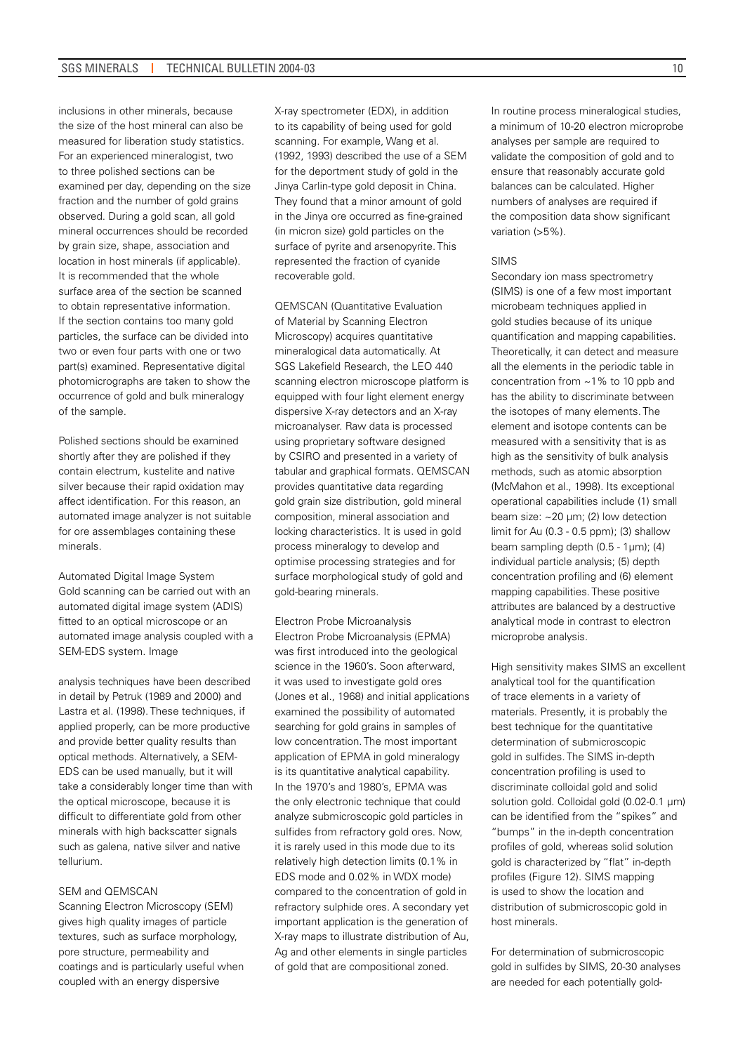inclusions in other minerals, because the size of the host mineral can also be measured for liberation study statistics. For an experienced mineralogist, two to three polished sections can be examined per day, depending on the size fraction and the number of gold grains observed. During a gold scan, all gold mineral occurrences should be recorded by grain size, shape, association and location in host minerals (if applicable). It is recommended that the whole surface area of the section be scanned to obtain representative information. If the section contains too many gold particles, the surface can be divided into two or even four parts with one or two part(s) examined. Representative digital photomicrographs are taken to show the occurrence of gold and bulk mineralogy of the sample.

Polished sections should be examined shortly after they are polished if they contain electrum, kustelite and native silver because their rapid oxidation may affect identification. For this reason, an automated image analyzer is not suitable for ore assemblages containing these minerals.

Automated Digital Image System Gold scanning can be carried out with an automated digital image system (ADIS) fitted to an optical microscope or an automated image analysis coupled with a SEM-EDS system. Image

analysis techniques have been described in detail by Petruk (1989 and 2000) and Lastra et al. (1998). These techniques, if applied properly, can be more productive and provide better quality results than optical methods. Alternatively, a SEM-EDS can be used manually, but it will take a considerably longer time than with the optical microscope, because it is difficult to differentiate gold from other minerals with high backscatter signals such as galena, native silver and native tellurium.

#### SEM and QEMSCAN

Scanning Electron Microscopy (SEM) gives high quality images of particle textures, such as surface morphology, pore structure, permeability and coatings and is particularly useful when coupled with an energy dispersive

X-ray spectrometer (EDX), in addition to its capability of being used for gold scanning. For example, Wang et al. (1992, 1993) described the use of a SEM for the deportment study of gold in the Jinya Carlin-type gold deposit in China. They found that a minor amount of gold in the Jinya ore occurred as fine-grained (in micron size) gold particles on the surface of pyrite and arsenopyrite. This represented the fraction of cyanide recoverable gold.

QEMSCAN (Quantitative Evaluation of Material by Scanning Electron Microscopy) acquires quantitative mineralogical data automatically. At SGS Lakefield Research, the LEO 440 scanning electron microscope platform is equipped with four light element energy dispersive X-ray detectors and an X-ray microanalyser. Raw data is processed using proprietary software designed by CSIRO and presented in a variety of tabular and graphical formats. QEMSCAN provides quantitative data regarding gold grain size distribution, gold mineral composition, mineral association and locking characteristics. It is used in gold process mineralogy to develop and optimise processing strategies and for surface morphological study of gold and gold-bearing minerals.

Electron Probe Microanalysis Electron Probe Microanalysis (EPMA) was first introduced into the geological science in the 1960's. Soon afterward, it was used to investigate gold ores (Jones et al., 1968) and initial applications examined the possibility of automated searching for gold grains in samples of low concentration. The most important application of EPMA in gold mineralogy is its quantitative analytical capability. In the 1970's and 1980's, EPMA was the only electronic technique that could analyze submicroscopic gold particles in sulfides from refractory gold ores. Now, it is rarely used in this mode due to its relatively high detection limits (0.1% in EDS mode and 0.02% in WDX mode) compared to the concentration of gold in refractory sulphide ores. A secondary yet important application is the generation of X-ray maps to illustrate distribution of Au, Ag and other elements in single particles of gold that are compositional zoned.

In routine process mineralogical studies, a minimum of 10-20 electron microprobe analyses per sample are required to validate the composition of gold and to ensure that reasonably accurate gold balances can be calculated. Higher numbers of analyses are required if the composition data show significant variation (>5%).

#### SIMS

Secondary ion mass spectrometry (SIMS) is one of a few most important microbeam techniques applied in gold studies because of its unique quantification and mapping capabilities. Theoretically, it can detect and measure all the elements in the periodic table in concentration from ~1% to 10 ppb and has the ability to discriminate between the isotopes of many elements. The element and isotope contents can be measured with a sensitivity that is as high as the sensitivity of bulk analysis methods, such as atomic absorption (McMahon et al., 1998). Its exceptional operational capabilities include (1) small beam size:  $\approx$  20 µm; (2) low detection limit for Au (0.3 - 0.5 ppm); (3) shallow beam sampling depth (0.5 - 1µm); (4) individual particle analysis; (5) depth concentration profiling and (6) element mapping capabilities. These positive attributes are balanced by a destructive analytical mode in contrast to electron microprobe analysis.

High sensitivity makes SIMS an excellent analytical tool for the quantification of trace elements in a variety of materials. Presently, it is probably the best technique for the quantitative determination of submicroscopic gold in sulfides. The SIMS in-depth concentration profiling is used to discriminate colloidal gold and solid solution gold. Colloidal gold (0.02-0.1 µm) can be identified from the "spikes" and "bumps" in the in-depth concentration profiles of gold, whereas solid solution gold is characterized by "flat" in-depth profiles (Figure 12). SIMS mapping is used to show the location and distribution of submicroscopic gold in host minerals.

For determination of submicroscopic gold in sulfides by SIMS, 20-30 analyses are needed for each potentially gold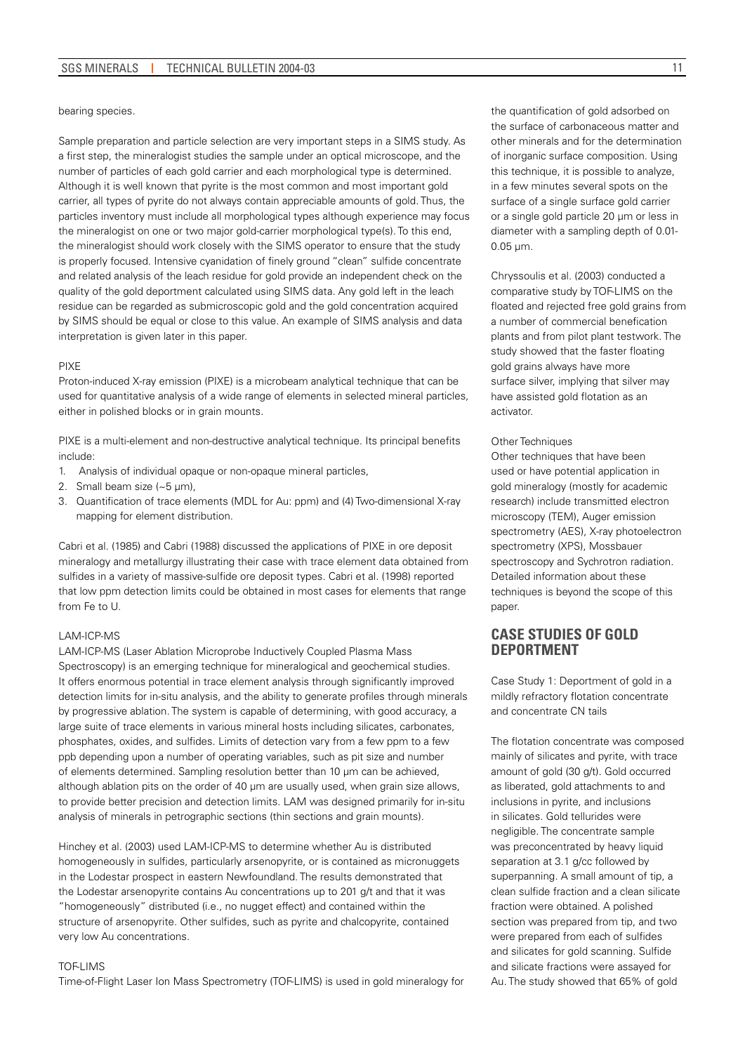bearing species.

Sample preparation and particle selection are very important steps in a SIMS study. As a first step, the mineralogist studies the sample under an optical microscope, and the number of particles of each gold carrier and each morphological type is determined. Although it is well known that pyrite is the most common and most important gold carrier, all types of pyrite do not always contain appreciable amounts of gold. Thus, the particles inventory must include all morphological types although experience may focus the mineralogist on one or two major gold-carrier morphological type(s). To this end, the mineralogist should work closely with the SIMS operator to ensure that the study is properly focused. Intensive cyanidation of finely ground "clean" sulfide concentrate and related analysis of the leach residue for gold provide an independent check on the quality of the gold deportment calculated using SIMS data. Any gold left in the leach residue can be regarded as submicroscopic gold and the gold concentration acquired by SIMS should be equal or close to this value. An example of SIMS analysis and data interpretation is given later in this paper.

#### PIXE

Proton-induced X-ray emission (PIXE) is a microbeam analytical technique that can be used for quantitative analysis of a wide range of elements in selected mineral particles, either in polished blocks or in grain mounts.

PIXE is a multi-element and non-destructive analytical technique. Its principal benefits include:

- 1. Analysis of individual opaque or non-opaque mineral particles,
- 2. Small beam size (~5 µm),
- 3. Quantification of trace elements (MDL for Au: ppm) and (4) Two-dimensional X-ray mapping for element distribution.

Cabri et al. (1985) and Cabri (1988) discussed the applications of PIXE in ore deposit mineralogy and metallurgy illustrating their case with trace element data obtained from sulfides in a variety of massive-sulfide ore deposit types. Cabri et al. (1998) reported that low ppm detection limits could be obtained in most cases for elements that range from Fe to U.

#### LAM-ICP-MS

LAM-ICP-MS (Laser Ablation Microprobe Inductively Coupled Plasma Mass Spectroscopy) is an emerging technique for mineralogical and geochemical studies. It offers enormous potential in trace element analysis through significantly improved detection limits for in-situ analysis, and the ability to generate profiles through minerals by progressive ablation. The system is capable of determining, with good accuracy, a large suite of trace elements in various mineral hosts including silicates, carbonates, phosphates, oxides, and sulfides. Limits of detection vary from a few ppm to a few ppb depending upon a number of operating variables, such as pit size and number of elements determined. Sampling resolution better than 10 µm can be achieved, although ablation pits on the order of 40 µm are usually used, when grain size allows, to provide better precision and detection limits. LAM was designed primarily for in-situ analysis of minerals in petrographic sections (thin sections and grain mounts).

Hinchey et al. (2003) used LAM-ICP-MS to determine whether Au is distributed homogeneously in sulfides, particularly arsenopyrite, or is contained as micronuggets in the Lodestar prospect in eastern Newfoundland. The results demonstrated that the Lodestar arsenopyrite contains Au concentrations up to 201 g/t and that it was "homogeneously" distributed (i.e., no nugget effect) and contained within the structure of arsenopyrite. Other sulfides, such as pyrite and chalcopyrite, contained very low Au concentrations.

#### TOF-LIMS

Time-of-Flight Laser Ion Mass Spectrometry (TOF-LIMS) is used in gold mineralogy for

the quantification of gold adsorbed on the surface of carbonaceous matter and other minerals and for the determination of inorganic surface composition. Using this technique, it is possible to analyze, in a few minutes several spots on the surface of a single surface gold carrier or a single gold particle 20 µm or less in

Chryssoulis et al. (2003) conducted a comparative study by TOF-LIMS on the floated and rejected free gold grains from a number of commercial benefication plants and from pilot plant testwork. The study showed that the faster floating gold grains always have more surface silver, implying that silver may have assisted gold flotation as an activator.

diameter with a sampling depth of 0.01-

#### Other Techniques

0.05 µm.

Other techniques that have been used or have potential application in gold mineralogy (mostly for academic research) include transmitted electron microscopy (TEM), Auger emission spectrometry (AES), X-ray photoelectron spectrometry (XPS), Mossbauer spectroscopy and Sychrotron radiation. Detailed information about these techniques is beyond the scope of this paper.

# **CASE STUDIES OF GOLD DEPORTMENT**

Case Study 1: Deportment of gold in a mildly refractory flotation concentrate and concentrate CN tails

The flotation concentrate was composed mainly of silicates and pyrite, with trace amount of gold (30 g/t). Gold occurred as liberated, gold attachments to and inclusions in pyrite, and inclusions in silicates. Gold tellurides were negligible. The concentrate sample was preconcentrated by heavy liquid separation at 3.1 g/cc followed by superpanning. A small amount of tip, a clean sulfide fraction and a clean silicate fraction were obtained. A polished section was prepared from tip, and two were prepared from each of sulfides and silicates for gold scanning. Sulfide and silicate fractions were assayed for Au. The study showed that 65% of gold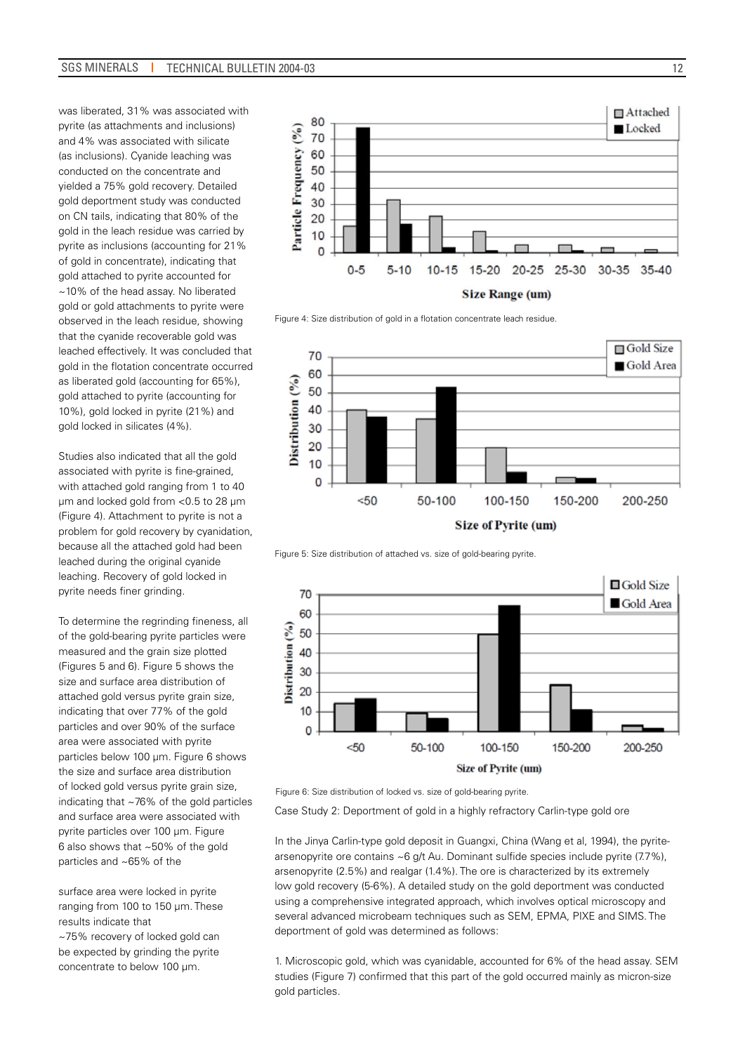was liberated, 31% was associated with pyrite (as attachments and inclusions) and 4% was associated with silicate (as inclusions). Cyanide leaching was conducted on the concentrate and yielded a 75% gold recovery. Detailed gold deportment study was conducted on CN tails, indicating that 80% of the gold in the leach residue was carried by pyrite as inclusions (accounting for 21% of gold in concentrate), indicating that gold attached to pyrite accounted for ~10% of the head assay. No liberated gold or gold attachments to pyrite were observed in the leach residue, showing that the cyanide recoverable gold was leached effectively. It was concluded that gold in the flotation concentrate occurred as liberated gold (accounting for 65%), gold attached to pyrite (accounting for 10%), gold locked in pyrite (21%) and gold locked in silicates (4%).

Studies also indicated that all the gold associated with pyrite is fine-grained, with attached gold ranging from 1 to 40 µm and locked gold from <0.5 to 28 µm (Figure 4). Attachment to pyrite is not a problem for gold recovery by cyanidation, because all the attached gold had been leached during the original cyanide leaching. Recovery of gold locked in pyrite needs finer grinding.

To determine the regrinding fineness, all of the gold-bearing pyrite particles were measured and the grain size plotted (Figures 5 and 6). Figure 5 shows the size and surface area distribution of attached gold versus pyrite grain size, indicating that over 77% of the gold particles and over 90% of the surface area were associated with pyrite particles below 100 µm. Figure 6 shows the size and surface area distribution of locked gold versus pyrite grain size, indicating that ~76% of the gold particles and surface area were associated with pyrite particles over 100 µm. Figure 6 also shows that ~50% of the gold particles and ~65% of the

surface area were locked in pyrite ranging from 100 to 150 µm. These results indicate that ~75% recovery of locked gold can be expected by grinding the pyrite concentrate to below 100 µm.



Figure 4: Size distribution of gold in a flotation concentrate leach residue.



Figure 5: Size distribution of attached vs. size of gold-bearing pyrite.



Figure 6: Size distribution of locked vs. size of gold-bearing pyrite.

Case Study 2: Deportment of gold in a highly refractory Carlin-type gold ore

In the Jinya Carlin-type gold deposit in Guangxi, China (Wang et al, 1994), the pyritearsenopyrite ore contains ~6 g/t Au. Dominant sulfide species include pyrite (7.7%), arsenopyrite (2.5%) and realgar (1.4%). The ore is characterized by its extremely low gold recovery (5-6%). A detailed study on the gold deportment was conducted using a comprehensive integrated approach, which involves optical microscopy and several advanced microbeam techniques such as SEM, EPMA, PIXE and SIMS. The deportment of gold was determined as follows:

1. Microscopic gold, which was cyanidable, accounted for 6% of the head assay. SEM studies (Figure 7) confirmed that this part of the gold occurred mainly as micron-size gold particles.

12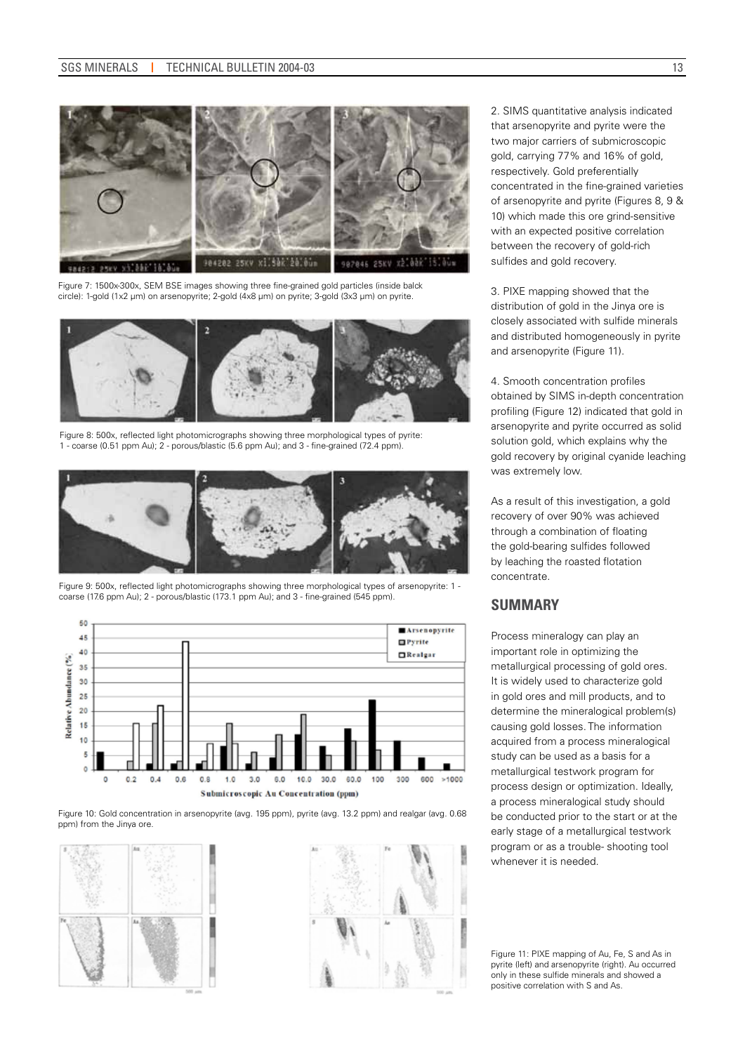

Figure 7: 1500x-300x, SEM BSE images showing three fine-grained gold particles (inside balck circle): 1-gold (1x2 µm) on arsenopyrite; 2-gold (4x8 µm) on pyrite; 3-gold (3x3 µm) on pyrite.



Figure 8: 500x, reflected light photomicrographs showing three morphological types of pyrite: 1 - coarse (0.51 ppm Au); 2 - porous/blastic (5.6 ppm Au); and 3 - fine-grained (72.4 ppm).



Figure 9: 500x, reflected light photomicrographs showing three morphological types of arsenopyrite: 1 coarse (17.6 ppm Au); 2 - porous/blastic (173.1 ppm Au); and 3 - fine-grained (545 ppm).



Figure 10: Gold concentration in arsenopyrite (avg. 195 ppm), pyrite (avg. 13.2 ppm) and realgar (avg. 0.68 ppm) from the Jinya ore.





2. SIMS quantitative analysis indicated that arsenopyrite and pyrite were the two major carriers of submicroscopic gold, carrying 77% and 16% of gold, respectively. Gold preferentially concentrated in the fine-grained varieties of arsenopyrite and pyrite (Figures 8, 9 & 10) which made this ore grind-sensitive with an expected positive correlation between the recovery of gold-rich sulfides and gold recovery.

3. PIXE mapping showed that the distribution of gold in the Jinya ore is closely associated with sulfide minerals and distributed homogeneously in pyrite and arsenopyrite (Figure 11).

4. Smooth concentration profiles obtained by SIMS in-depth concentration profiling (Figure 12) indicated that gold in arsenopyrite and pyrite occurred as solid solution gold, which explains why the gold recovery by original cyanide leaching was extremely low.

As a result of this investigation, a gold recovery of over 90% was achieved through a combination of floating the gold-bearing sulfides followed by leaching the roasted flotation concentrate.

### **SUMMARY**

Process mineralogy can play an important role in optimizing the metallurgical processing of gold ores. It is widely used to characterize gold in gold ores and mill products, and to determine the mineralogical problem(s) causing gold losses. The information acquired from a process mineralogical study can be used as a basis for a metallurgical testwork program for process design or optimization. Ideally, a process mineralogical study should be conducted prior to the start or at the early stage of a metallurgical testwork program or as a trouble- shooting tool whenever it is needed.

Figure 11: PIXE mapping of Au, Fe, S and As in pyrite (left) and arsenopyrite (right). Au occurred only in these sulfide minerals and showed a positive correlation with S and As.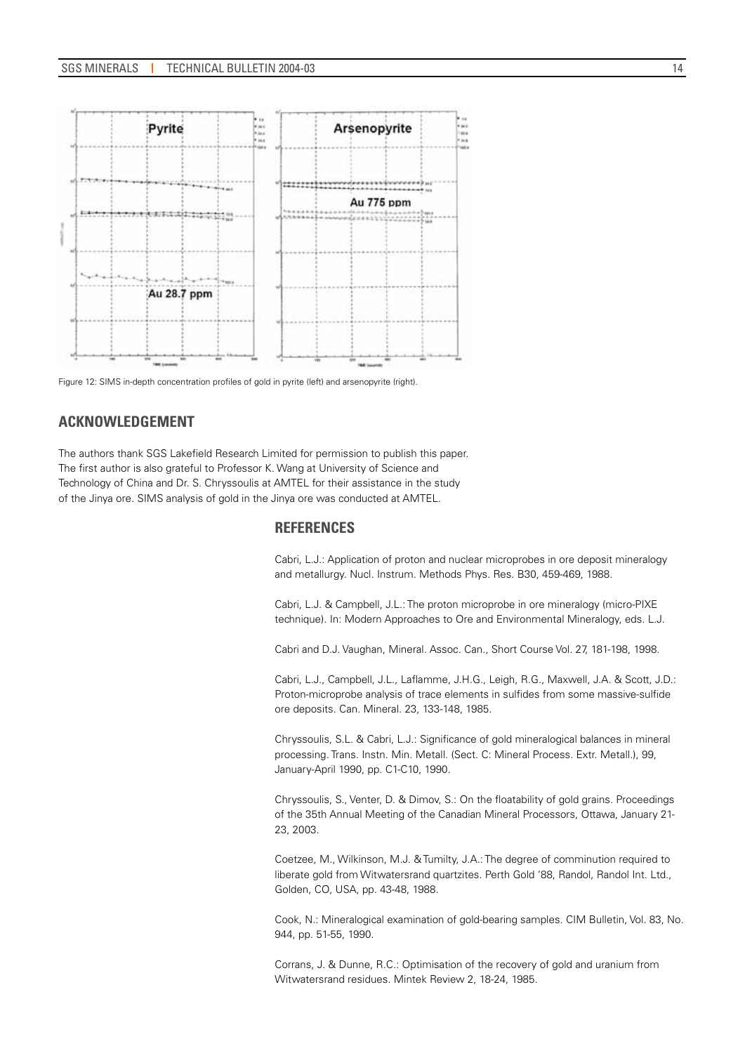

Figure 12: SIMS in-depth concentration profiles of gold in pyrite (left) and arsenopyrite (right).

# **ACKNOWLEDGEMENT**

The authors thank SGS Lakefield Research Limited for permission to publish this paper. The first author is also grateful to Professor K. Wang at University of Science and Technology of China and Dr. S. Chryssoulis at AMTEL for their assistance in the study of the Jinya ore. SIMS analysis of gold in the Jinya ore was conducted at AMTEL.

# **REFERENCES**

Cabri, L.J.: Application of proton and nuclear microprobes in ore deposit mineralogy and metallurgy. Nucl. Instrum. Methods Phys. Res. B30, 459-469, 1988.

Cabri, L.J. & Campbell, J.L.: The proton microprobe in ore mineralogy (micro-PIXE technique). In: Modern Approaches to Ore and Environmental Mineralogy, eds. L.J.

Cabri and D.J. Vaughan, Mineral. Assoc. Can., Short Course Vol. 27, 181-198, 1998.

Cabri, L.J., Campbell, J.L., Laflamme, J.H.G., Leigh, R.G., Maxwell, J.A. & Scott, J.D.: Proton-microprobe analysis of trace elements in sulfides from some massive-sulfide ore deposits. Can. Mineral. 23, 133-148, 1985.

Chryssoulis, S.L. & Cabri, L.J.: Significance of gold mineralogical balances in mineral processing. Trans. Instn. Min. Metall. (Sect. C: Mineral Process. Extr. Metall.), 99, January-April 1990, pp. C1-C10, 1990.

Chryssoulis, S., Venter, D. & Dimov, S.: On the floatability of gold grains. Proceedings of the 35th Annual Meeting of the Canadian Mineral Processors, Ottawa, January 21- 23, 2003.

Coetzee, M., Wilkinson, M.J. & Tumilty, J.A.: The degree of comminution required to liberate gold from Witwatersrand quartzites. Perth Gold '88, Randol, Randol Int. Ltd., Golden, CO, USA, pp. 43-48, 1988.

Cook, N.: Mineralogical examination of gold-bearing samples. CIM Bulletin, Vol. 83, No. 944, pp. 51-55, 1990.

Corrans, J. & Dunne, R.C.: Optimisation of the recovery of gold and uranium from Witwatersrand residues. Mintek Review 2, 18-24, 1985.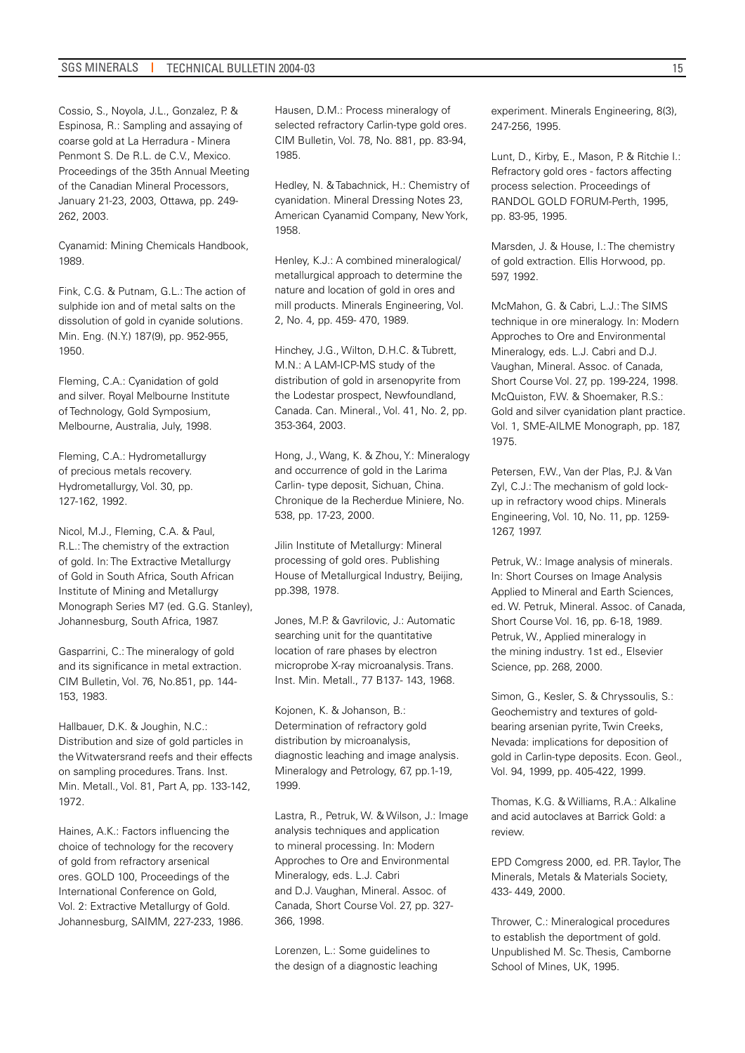Cossio, S., Noyola, J.L., Gonzalez, P. & Espinosa, R.: Sampling and assaying of coarse gold at La Herradura - Minera Penmont S. De R.L. de C.V., Mexico. Proceedings of the 35th Annual Meeting of the Canadian Mineral Processors, January 21-23, 2003, Ottawa, pp. 249- 262, 2003.

Cyanamid: Mining Chemicals Handbook, 1989.

Fink, C.G. & Putnam, G.L.: The action of sulphide ion and of metal salts on the dissolution of gold in cyanide solutions. Min. Eng. (N.Y.) 187(9), pp. 952-955, 1950.

Fleming, C.A.: Cyanidation of gold and silver. Royal Melbourne Institute of Technology, Gold Symposium, Melbourne, Australia, July, 1998.

Fleming, C.A.: Hydrometallurgy of precious metals recovery. Hydrometallurgy, Vol. 30, pp. 127-162, 1992.

Nicol, M.J., Fleming, C.A. & Paul, R.L.: The chemistry of the extraction of gold. In: The Extractive Metallurgy of Gold in South Africa, South African Institute of Mining and Metallurgy Monograph Series M7 (ed. G.G. Stanley), Johannesburg, South Africa, 1987.

Gasparrini, C.: The mineralogy of gold and its significance in metal extraction. CIM Bulletin, Vol. 76, No.851, pp. 144- 153, 1983.

Hallbauer, D.K. & Joughin, N.C.: Distribution and size of gold particles in the Witwatersrand reefs and their effects on sampling procedures. Trans. Inst. Min. Metall., Vol. 81, Part A, pp. 133-142, 1972.

Haines, A.K.: Factors influencing the choice of technology for the recovery of gold from refractory arsenical ores. GOLD 100, Proceedings of the International Conference on Gold, Vol. 2: Extractive Metallurgy of Gold. Johannesburg, SAIMM, 227-233, 1986. Hausen, D.M.: Process mineralogy of selected refractory Carlin-type gold ores. CIM Bulletin, Vol. 78, No. 881, pp. 83-94, 1985.

Hedley, N. & Tabachnick, H.: Chemistry of cyanidation. Mineral Dressing Notes 23, American Cyanamid Company, New York, 1958.

Henley, K.J.: A combined mineralogical/ metallurgical approach to determine the nature and location of gold in ores and mill products. Minerals Engineering, Vol. 2, No. 4, pp. 459- 470, 1989.

Hinchey, J.G., Wilton, D.H.C. & Tubrett, M.N.: A LAM-ICP-MS study of the distribution of gold in arsenopyrite from the Lodestar prospect, Newfoundland, Canada. Can. Mineral., Vol. 41, No. 2, pp. 353-364, 2003.

Hong, J., Wang, K. & Zhou, Y.: Mineralogy and occurrence of gold in the Larima Carlin- type deposit, Sichuan, China. Chronique de Ia Recherdue Miniere, No. 538, pp. 17-23, 2000.

Jilin Institute of Metallurgy: Mineral processing of gold ores. Publishing House of Metallurgical Industry, Beijing, pp.398, 1978.

Jones, M.P. & Gavrilovic, J.: Automatic searching unit for the quantitative location of rare phases by electron microprobe X-ray microanalysis. Trans. Inst. Min. Metall., 77 B137- 143, 1968.

Kojonen, K. & Johanson, B.: Determination of refractory gold distribution by microanalysis, diagnostic leaching and image analysis. Mineralogy and Petrology, 67, pp.1-19, 1999.

Lastra, R., Petruk, W. & Wilson, J.: Image analysis techniques and application to mineral processing. In: Modern Approches to Ore and Environmental Mineralogy, eds. L.J. Cabri and D.J. Vaughan, Mineral. Assoc. of Canada, Short Course Vol. 27, pp. 327- 366, 1998.

Lorenzen, L.: Some guidelines to the design of a diagnostic leaching experiment. Minerals Engineering, 8(3), 247-256, 1995.

Lunt, D., Kirby, E., Mason, P. & Ritchie I.: Refractory gold ores - factors affecting process selection. Proceedings of RANDOL GOLD FORUM-Perth, 1995, pp. 83-95, 1995.

Marsden, J. & House, I.: The chemistry of gold extraction. Ellis Horwood, pp. 597, 1992.

McMahon, G. & Cabri, L.J.: The SIMS technique in ore mineralogy. In: Modern Approches to Ore and Environmental Mineralogy, eds. L.J. Cabri and D.J. Vaughan, Mineral. Assoc. of Canada, Short Course Vol. 27, pp. 199-224, 1998. McQuiston, F.W. & Shoemaker, R.S.: Gold and silver cyanidation plant practice. Vol. 1, SME-AILME Monograph, pp. 187, 1975.

Petersen, F.W., Van der Plas, P.J. & Van Zyl, C.J.: The mechanism of gold lockup in refractory wood chips. Minerals Engineering, Vol. 10, No. 11, pp. 1259- 1267, 1997.

Petruk, W.: Image analysis of minerals. In: Short Courses on Image Analysis Applied to Mineral and Earth Sciences, ed. W. Petruk, Mineral. Assoc. of Canada, Short Course Vol. 16, pp. 6-18, 1989. Petruk, W., Applied mineralogy in the mining industry. 1st ed., Elsevier Science, pp. 268, 2000.

Simon, G., Kesler, S. & Chryssoulis, S.: Geochemistry and textures of goldbearing arsenian pyrite, Twin Creeks, Nevada: implications for deposition of gold in Carlin-type deposits. Econ. Geol., Vol. 94, 1999, pp. 405-422, 1999.

Thomas, K.G. & Williams, R.A.: Alkaline and acid autoclaves at Barrick Gold: a review.

EPD Comgress 2000, ed. P.R. Taylor, The Minerals, Metals & Materials Society, 433- 449, 2000.

Thrower, C.: Mineralogical procedures to establish the deportment of gold. Unpublished M. Sc. Thesis, Camborne School of Mines, UK, 1995.